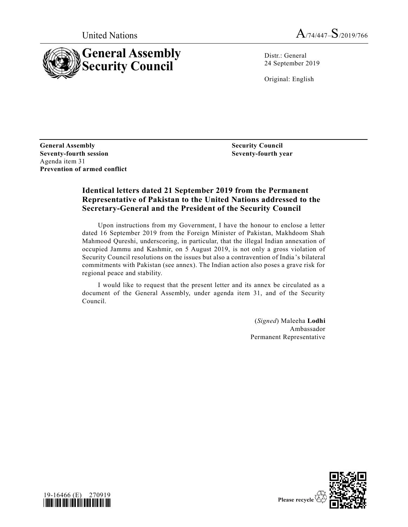

Distr.: General 24 September 2019

Original: English

**General Assembly Seventy-fourth session** Agenda item 31 **Prevention of armed conflict**

**Security Council Seventy-fourth year**

# **Identical letters dated 21 September 2019 from the Permanent Representative of Pakistan to the United Nations addressed to the Secretary-General and the President of the Security Council**

Upon instructions from my Government, I have the honour to enclose a letter dated 16 September 2019 from the Foreign Minister of Pakistan, Makhdoom Shah Mahmood Qureshi, underscoring, in particular, that the illegal Indian annexation of occupied Jammu and Kashmir, on 5 August 2019, is not only a gross violation of Security Council resolutions on the issues but also a contravention of India 's bilateral commitments with Pakistan (see annex). The Indian action also poses a grave risk for regional peace and stability.

I would like to request that the present letter and its annex be circulated as a document of the General Assembly, under agenda item 31, and of the Security Council.

> (*Signed*) Maleeha **Lodhi** Ambassador Permanent Representative



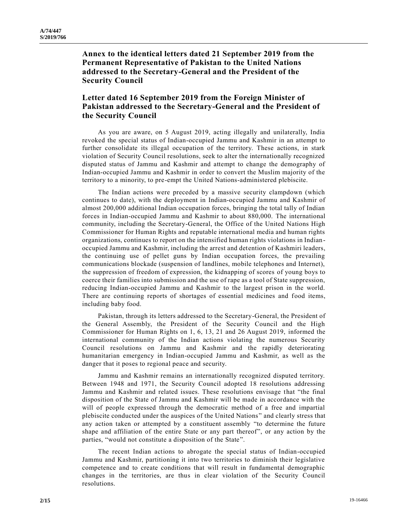**Annex to the identical letters dated 21 September 2019 from the Permanent Representative of Pakistan to the United Nations addressed to the Secretary-General and the President of the Security Council**

# **Letter dated 16 September 2019 from the Foreign Minister of Pakistan addressed to the Secretary-General and the President of the Security Council**

As you are aware, on 5 August 2019, acting illegally and unilaterally, India revoked the special status of Indian-occupied Jammu and Kashmir in an attempt to further consolidate its illegal occupation of the territory. These actions, in stark violation of Security Council resolutions, seek to alter the internationally recognized disputed status of Jammu and Kashmir and attempt to change the demography of Indian-occupied Jammu and Kashmir in order to convert the Muslim majority of the territory to a minority, to pre-empt the United Nations-administered plebiscite.

The Indian actions were preceded by a massive security clampdown (which continues to date), with the deployment in Indian-occupied Jammu and Kashmir of almost 200,000 additional Indian occupation forces, bringing the total tally of Indian forces in Indian-occupied Jammu and Kashmir to about 880,000. The international community, including the Secretary-General, the Office of the United Nations High Commissioner for Human Rights and reputable international media and human rights organizations, continues to report on the intensified human rights violations in Indianoccupied Jammu and Kashmir, including the arrest and detention of Kashmiri leaders, the continuing use of pellet guns by Indian occupation forces, the prevailing communications blockade (suspension of landlines, mobile telephones and Internet), the suppression of freedom of expression, the kidnapping of scores of young boys to coerce their families into submission and the use of rape as a tool of State suppression, reducing Indian-occupied Jammu and Kashmir to the largest prison in the world. There are continuing reports of shortages of essential medicines and food items, including baby food.

Pakistan, through its letters addressed to the Secretary-General, the President of the General Assembly, the President of the Security Council and the High Commissioner for Human Rights on 1, 6, 13, 21 and 26 August 2019, informed the international community of the Indian actions violating the numerous Security Council resolutions on Jammu and Kashmir and the rapidly deteriorating humanitarian emergency in Indian-occupied Jammu and Kashmir, as well as the danger that it poses to regional peace and security.

Jammu and Kashmir remains an internationally recognized disputed territory. Between 1948 and 1971, the Security Council adopted 18 resolutions addressing Jammu and Kashmir and related issues. These resolutions envisage that "the final disposition of the State of Jammu and Kashmir will be made in accordance with the will of people expressed through the democratic method of a free and impartial plebiscite conducted under the auspices of the United Nations" and clearly stress that any action taken or attempted by a constituent assembly "to determine the future shape and affiliation of the entire State or any part thereof", or any action by the parties, "would not constitute a disposition of the State".

The recent Indian actions to abrogate the special status of Indian-occupied Jammu and Kashmir, partitioning it into two territories to diminish their legislative competence and to create conditions that will result in fundamental demographic changes in the territories, are thus in clear violation of the Security Council resolutions.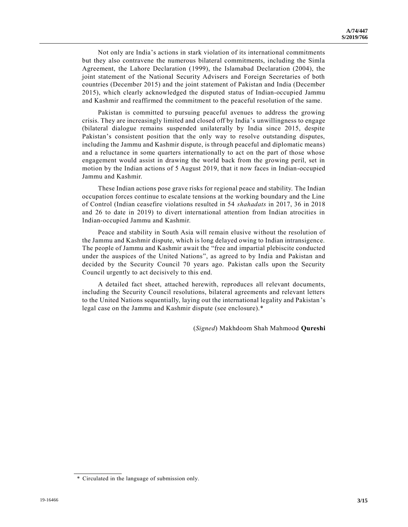Not only are India's actions in stark violation of its international commitments but they also contravene the numerous bilateral commitments, including the Simla Agreement, the Lahore Declaration (1999), the Islamabad Declaration (2004), the joint statement of the National Security Advisers and Foreign Secretaries of both countries (December 2015) and the joint statement of Pakistan and India (December 2015), which clearly acknowledged the disputed status of Indian-occupied Jammu and Kashmir and reaffirmed the commitment to the peaceful resolution of the same.

Pakistan is committed to pursuing peaceful avenues to address the growing crisis. They are increasingly limited and closed off by India's unwillingness to engage (bilateral dialogue remains suspended unilaterally by India since 2015, despite Pakistan's consistent position that the only way to resolve outstanding disputes, including the Jammu and Kashmir dispute, is through peaceful and diplomatic means) and a reluctance in some quarters internationally to act on the part of those whose engagement would assist in drawing the world back from the growing peril, set in motion by the Indian actions of 5 August 2019, that it now faces in Indian-occupied Jammu and Kashmir.

These Indian actions pose grave risks for regional peace and stability. The Indian occupation forces continue to escalate tensions at the working boundary and the Line of Control (Indian ceasefire violations resulted in 54 *shahadats* in 2017, 36 in 2018 and 26 to date in 2019) to divert international attention from Indian atrocities in Indian-occupied Jammu and Kashmir.

Peace and stability in South Asia will remain elusive without the resolution of the Jammu and Kashmir dispute, which is long delayed owing to Indian intransigence. The people of Jammu and Kashmir await the "free and impartial plebiscite conducted under the auspices of the United Nations", as agreed to by India and Pakistan and decided by the Security Council 70 years ago. Pakistan calls upon the Security Council urgently to act decisively to this end.

A detailed fact sheet, attached herewith, reproduces all relevant documents, including the Security Council resolutions, bilateral agreements and relevant letters to the United Nations sequentially, laying out the international legality and Pakistan 's legal case on the Jammu and Kashmir dispute (see enclosure).\*

(*Signed*) Makhdoom Shah Mahmood **Qureshi**

<sup>\*</sup> Circulated in the language of submission only.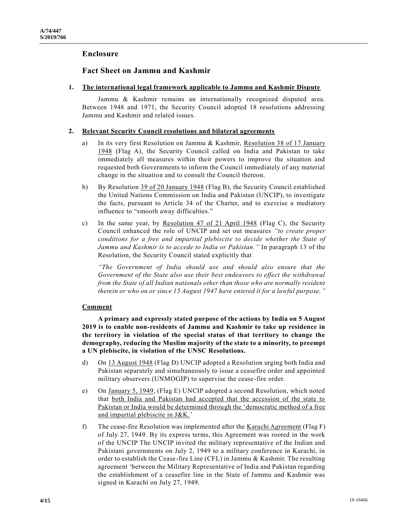# **Enclosure**

# **Fact Sheet on Jammu and Kashmir**

## **1. The international legal framework applicable to Jammu and Kashmir Dispute**

Jammu & Kashmir remains an internationally recognized disputed area. Between 1948 and 1971, the Security Council adopted 18 resolutions addressing Jammu and Kashmir and related issues.

#### **2. Relevant Security Council resolutions and bilateral agreements**

- a) In its very first Resolution on Jammu & Kashmir, Resolution 38 of 17 January 1948 (Flag A), the Security Council called on India and Pakistan to take immediately all measures within their powers to improve the situation and requested both Governments to inform the Council immediately of any material change in the situation and to consult the Council thereon.
- b) By Resolution 39 of 20 January 1948 (Flag B), the Security Council established the United Nations Commission on India and Pakistan (UNCIP), to investigate the facts, pursuant to Article 34 of the Charter, and to exercise a mediatory influence to "smooth away difficulties."
- c) In the same year, by Resolution 47 of 21 April 1948 (Flag C), the Security Council enhanced the role of UNCIP and set out measures *"to create proper conditions for a free and impartial plebiscite to decide whether the State of Jammu and Kashmir is to accede to India or Pakistan."* In paragraph 13 of the Resolution, the Security Council stated explicitly that

*"The Government of India should use and should also ensure that the Government of the State also use their best endeavors to effect the withdrawal from the State of all Indian nationals other than those who are normally resident therein or who on or since 15 August 1947 have entered it for a lawful purpose."*

## **Comment**

**A primary and expressly stated purpose of the actions by India on 5 August 2019 is to enable non-residents of Jammu and Kashmir to take up residence in the territory in violation of the special status of that territory to change the demography, reducing the Muslim majority of the state to a minority, to preempt a UN plebiscite, in violation of the UNSC Resolutions.**

- d) On 13 August 1948 (Flag D) UNCIP adopted a Resolution urging both India and Pakistan separately and simultaneously to issue a ceasefire order and appointed military observers (UNMOGIP) to supervise the cease-fire order.
- e) On January 5, 1949, (Flag E) UNCIP adopted a second Resolution, which noted that both India and Pakistan had accepted that the accession of the state to Pakistan or India would be determined through the 'democratic method of a free and impartial plebiscite in J&K.'
- f) The cease-fire Resolution was implemented after the Karachi Agreement (Flag F) of July 27, 1949. By its express terms, this Agreement was rooted in the work of the UNCIP The UNCIP invited the military representative of the Indian and Pakistani governments on July 2, 1949 to a military conference in Karachi, in order to establish the Cease-fire Line (CFL) in Jammu & Kashmir. The resulting agreement 'between the Military Representative of India and Pakistan regarding the establishment of a ceasefire line in the State of Jammu and Kashmir was signed in Karachi on July 27, 1949.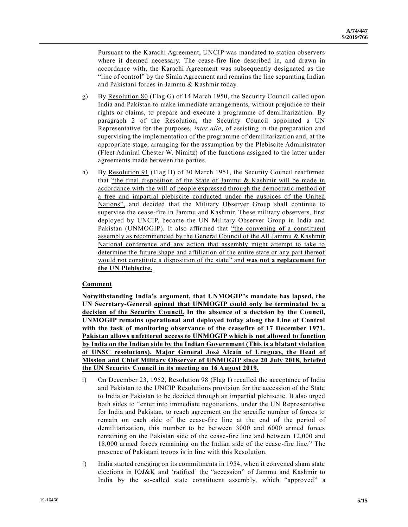Pursuant to the Karachi Agreement, UNCIP was mandated to station observers where it deemed necessary. The cease-fire line described in, and drawn in accordance with, the Karachi Agreement was subsequently designated as the "line of control" by the Simla Agreement and remains the line separating Indian and Pakistani forces in Jammu & Kashmir today.

- g) By Resolution 80 (Flag G) of 14 March 1950, the Security Council called upon India and Pakistan to make immediate arrangements, without prejudice to their rights or claims, to prepare and execute a programme of demilitarization. By paragraph 2 of the Resolution, the Security Council appointed a UN Representative for the purposes, *inter alia*, of assisting in the preparation and supervising the implementation of the programme of demilitarization and, at the appropriate stage, arranging for the assumption by the Plebiscite Administrator (Fleet Admiral Chester W. Nimitz) of the functions assigned to the latter under agreements made between the parties.
- h) By Resolution 91 (Flag H) of 30 March 1951, the Security Council reaffirmed that "the final disposition of the State of Jammu & Kashmir will be made in accordance with the will of people expressed through the democratic method of a free and impartial plebiscite conducted under the auspices of the United Nations", and decided that the Military Observer Group shall continue to supervise the cease-fire in Jammu and Kashmir. These military observers, first deployed by UNCIP, became the UN Military Observer Group in India and Pakistan (UNMOGIP). It also affirmed that "the convening of a constituent assembly as recommended by the General Council of the All Jammu & Kashmir National conference and any action that assembly might attempt to take to determine the future shape and affiliation of the entire state or any part thereof would not constitute a disposition of the state" and **was not a replacement for the UN Plebiscite.**

## **Comment**

**Notwithstanding India's argument, that UNMOGIP's mandate has lapsed, the UN Secretary-General opined that UNMOGIP could only be terminated by a decision of the Security Council. In the absence of a decision by the Council, UNMOGIP remains operational and deployed today along the Line of Control with the task of monitoring observance of the ceasefire of 17 December 1971. Pakistan allows unfettered access to UNMOGIP which is not allowed to function by India on the Indian side by the Indian Government (This is a blatant violation of UNSC resolutions). Major General José Alcaín of Uruguay, the Head of Mission and Chief Military Observer of UNMOGIP since 20 July 2018, briefed the UN Security Council in its meeting on 16 August 2019.**

- i) On <u>December 23, 1952, Resolution 98</u> (Flag I) recalled the acceptance of India and Pakistan to the UNCIP Resolutions provision for the accession of the State to India or Pakistan to be decided through an impartial plebiscite. It also urged both sides to "enter into immediate negotiations, under the UN Representative for India and Pakistan, to reach agreement on the specific number of forces to remain on each side of the cease-fire line at the end of the period of demilitarization, this number to be between 3000 and 6000 armed forces remaining on the Pakistan side of the cease-fire line and between 12,000 and 18,000 armed forces remaining on the Indian side of the cease -fire line." The presence of Pakistani troops is in line with this Resolution.
- j) India started reneging on its commitments in 1954, when it convened sham state elections in IOJ&K and 'ratified' the "accession" of Jammu and Kashmir to India by the so-called state constituent assembly, which "approved" a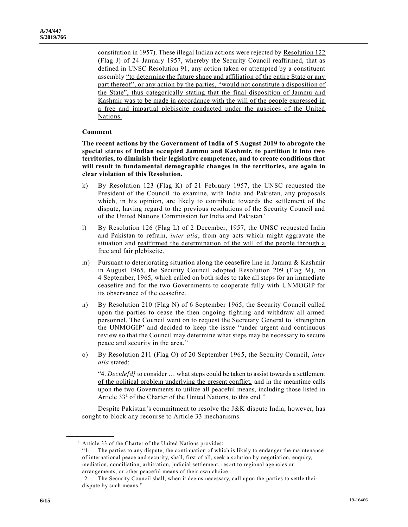constitution in 1957). These illegal Indian actions were rejected by Resolution 122 (Flag J) of 24 January 1957, whereby the Security Council reaffirmed, that as defined in UNSC Resolution 91, any action taken or attempted by a constituent assembly "to determine the future shape and affiliation of the entire State or any part thereof", or any action by the parties, "would not constitute a disposition of the State", thus categorically stating that the final disposition of Jammu and Kashmir was to be made in accordance with the will of the people expressed in a free and impartial plebiscite conducted under the auspices of the United Nations.

#### **Comment**

**The recent actions by the Government of India of 5 August 2019 to abrogate the special status of Indian occupied Jammu and Kashmir, to partition it into two territories, to diminish their legislative competence, and to create conditions that will result in fundamental demographic changes in the territories, are again in clear violation of this Resolution.**

- k) By Resolution 123 (Flag K) of 21 February 1957, the UNSC requested the President of the Council 'to examine, with India and Pakistan, any proposals which, in his opinion, are likely to contribute towards the settlement of the dispute, having regard to the previous resolutions of the Security Council and of the United Nations Commission for India and Pakistan'
- l) By Resolution 126 (Flag L) of 2 December, 1957, the UNSC requested India and Pakistan to refrain, *inter alia*, from any acts which might aggravate the situation and reaffirmed the determination of the will of the people through a free and fair plebiscite.
- m) Pursuant to deteriorating situation along the ceasefire line in Jammu & Kashmir in August 1965, the Security Council adopted Resolution 209 (Flag M), on 4 September, 1965, which called on both sides to take all steps for an immediate ceasefire and for the two Governments to cooperate fully with UNMOGIP for its observance of the ceasefire.
- n) By Resolution 210 (Flag N) of 6 September 1965, the Security Council called upon the parties to cease the then ongoing fighting and withdraw all armed personnel. The Council went on to request the Secretary General to 'strengthen the UNMOGIP' and decided to keep the issue "under urgent and continuous review so that the Council may determine what steps may be necessary to secure peace and security in the area."
- o) By Resolution 211 (Flag O) of 20 September 1965, the Security Council, *inter alia* stated:

"4. *Decide[d]* to consider  $\dots$  what steps could be taken to assist towards a settlement of the political problem underlying the present conflict, and in the meantime calls upon the two Governments to utilize all peaceful means, including those listed in Article  $33<sup>1</sup>$  of the Charter of the United Nations, to this end."

Despite Pakistan's commitment to resolve the J&K dispute India, however, has sought to block any recourse to Article 33 mechanisms.

**\_\_\_\_\_\_\_\_\_\_\_\_\_\_\_\_\_\_**

<sup>&</sup>lt;sup>1</sup> Article 33 of the Charter of the United Nations provides:

<sup>&</sup>quot;1. The parties to any dispute, the continuation of which is likely to endanger the maintenance of international peace and security, shall, first of all, seek a solution by negotiation, enquiry, mediation, conciliation, arbitration, judicial settlement, resort to regional agencies or arrangements, or other peaceful means of their own choice.

<sup>2.</sup> The Security Council shall, when it deems necessary, call upon the parties to settle their dispute by such means."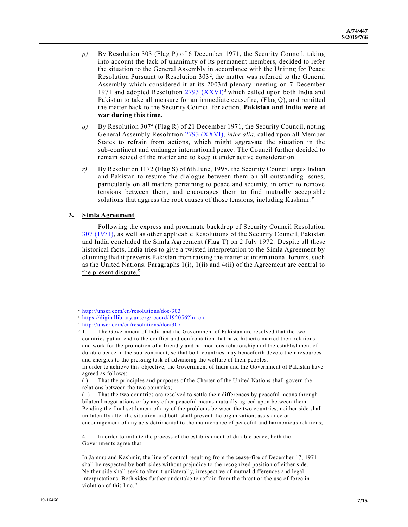- *p)* By Resolution 303 (Flag P) of 6 December 1971, the Security Council, taking into account the lack of unanimity of its permanent members, decided to refer the situation to the General Assembly in accordance with the Uniting for Peace Resolution Pursuant to Resolution  $303^2$ , the matter was referred to the General Assembly which considered it at its 2003rd plenary meeting on 7 December 1971 and adopted Resolution  $2793$  (XXVI)<sup>3</sup> which called upon both India and Pakistan to take all measure for an immediate ceasefire, (Flag Q), and remitted the matter back to the Security Council for action. **Pakistan and India were at war during this time.**
- q) By <u>Resolution 307<sup>4</sup></u> (Flag R) of 21 December 1971, the Security Council, noting General Assembly Resolution [2793 \(XXVI\),](https://undocs.org/en/A/RES/2793%20(XXVI)) *inter alia*, called upon all Member States to refrain from actions, which might aggravate the situation in the sub-continent and endanger international peace. The Council further decided to remain seized of the matter and to keep it under active consideration.
- *r)* By Resolution 1172 (Flag S) of 6th June, 1998, the Security Council urges Indian and Pakistan to resume the dialogue between them on all outstanding issues, particularly on all matters pertaining to peace and security, in order to remove tensions between them, and encourages them to find mutually acceptable solutions that aggress the root causes of those tensions, including Kashmir. "

#### **3. Simla Agreement**

**\_\_\_\_\_\_\_\_\_\_\_\_\_\_\_\_\_\_**

…

Following the express and proximate backdrop of Security Council Resolution [307 \(1971\),](https://undocs.org/en/S/RES/307%20(1971)) as well as other applicable Resolutions of the Security Council, Pakistan and India concluded the Simla Agreement (Flag T) on 2 July 1972. Despite all these historical facts, India tries to give a twisted interpretation to the Simla Agreement by claiming that it prevents Pakistan from raising the matter at international forums, such as the United Nations. Paragraphs  $1(i)$ ,  $1(ii)$  and  $4(ii)$  of the Agreement are central to the present dispute.<sup>5</sup>

<sup>2</sup> <http://unscr.com/en/resolutions/doc/303>

<sup>3</sup> <https://digitallibrary.un.org/record/192056?ln=en>

<sup>4</sup> <http://unscr.com/en/resolutions/doc/307>

<sup>&</sup>lt;sup>5</sup> 1. The Government of India and the Government of Pakistan are resolved that the two countries put an end to the conflict and confrontation that have hitherto marred their relations and work for the promotion of a friendly and harmonious relationship and the establishment of durable peace in the sub-continent, so that both countries may henceforth devote their resources and energies to the pressing task of advancing the welfare of their peoples.

In order to achieve this objective, the Government of India and the Government of Pakistan have agreed as follows:

<sup>(</sup>i) That the principles and purposes of the Charter of the United Nations shall govern the relations between the two countries;

<sup>(</sup>ii) That the two countries are resolved to settle their differences by peaceful means through bilateral negotiations or by any other peaceful means mutually agreed upon between them. Pending the final settlement of any of the problems between the two countries, neither side shall unilaterally alter the situation and both shall prevent the organization, assistance or encouragement of any acts detrimental to the maintenance of peac eful and harmonious relations; …

<sup>4.</sup> In order to initiate the process of the establishment of durable peace, both the Governments agree that:

In Jammu and Kashmir, the line of control resulting from the cease-fire of December 17, 1971 shall be respected by both sides without prejudice to the recognized position of either side. Neither side shall seek to alter it unilaterally, irrespective of mutual differences and legal interpretations. Both sides further undertake to refrain from the threat or the use of force in violation of this line."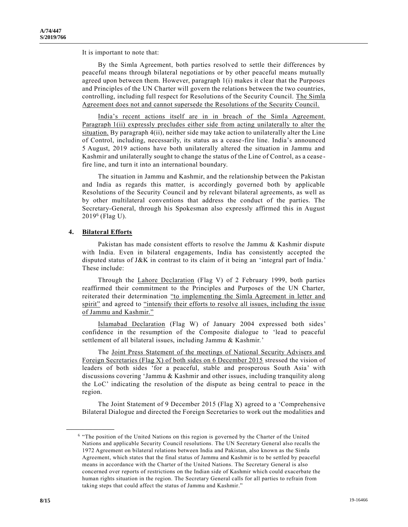It is important to note that:

By the Simla Agreement, both parties resolved to settle their differences by peaceful means through bilateral negotiations or by other peaceful means mutually agreed upon between them. However, paragraph 1(i) makes it clear that the Purposes and Principles of the UN Charter will govern the relations between the two countries, controlling, including full respect for Resolutions of the Security Council. The Simla Agreement does not and cannot supersede the Resolutions of the Security Council.

India's recent actions itself are in in breach of the Simla Agreement. Paragraph 1(ii) expressly precludes either side from acting unilaterally to alter the situation. By paragraph 4(ii), neither side may take action to unilaterally alter the Line of Control, including, necessarily, its status as a cease-fire line. India's announced 5 August, 2019 actions have both unilaterally altered the situation in Jammu and Kashmir and unilaterally sought to change the status of the Line of Control, as a cease fire line, and turn it into an international boundary.

The situation in Jammu and Kashmir, and the relationship between the Pakistan and India as regards this matter, is accordingly governed both by applicable Resolutions of the Security Council and by relevant bilateral agreements, as well as by other multilateral conventions that address the conduct of the parties. The Secretary-General, through his Spokesman also expressly affirmed this in August 2019<sup>6</sup> (Flag U).

#### **4. Bilateral Efforts**

**\_\_\_\_\_\_\_\_\_\_\_\_\_\_\_\_\_\_**

Pakistan has made consistent efforts to resolve the Jammu & Kashmir dispute with India. Even in bilateral engagements, India has consistently accepted the disputed status of J&K in contrast to its claim of it being an 'integral part of India.' These include:

Through the Lahore Declaration (Flag V) of 2 February 1999, both parties reaffirmed their commitment to the Principles and Purposes of the UN Charter, reiterated their determination "to implementing the Simla Agreement in letter and spirit" and agreed to "intensify their efforts to resolve all issues, including the issue of Jammu and Kashmir."

Islamabad Declaration (Flag W) of January 2004 expressed both sides' confidence in the resumption of the Composite dialogue to 'lead to peaceful settlement of all bilateral issues, including Jammu & Kashmir.'

The Joint Press Statement of the meetings of National Security Advisers and Foreign Secretaries (Flag X) of both sides on 6 December 2015 stressed the vision of leaders of both sides 'for a peaceful, stable and prosperous South Asia' with discussions covering 'Jammu & Kashmir and other issues, including tranquility along the LoC' indicating the resolution of the dispute as being central to peace in the region.

The Joint Statement of 9 December 2015 (Flag X) agreed to a 'Comprehensive Bilateral Dialogue and directed the Foreign Secretaries to work out the modalities and

<sup>6</sup> "The position of the United Nations on this region is governed by the Charter of the United Nations and applicable Security Council resolutions. The UN Secretary General also recalls the 1972 Agreement on bilateral relations between India and Pakistan, also known as the Simla Agreement, which states that the final status of Jammu and Kashmir is to be settled by peaceful means in accordance with the Charter of the United Nations. The Secretary General is also concerned over reports of restrictions on the Indian side of Kashmir which could exacerbate the human rights situation in the region. The Secretary General calls for all parties to refrain from taking steps that could affect the status of Jammu and Kashmir."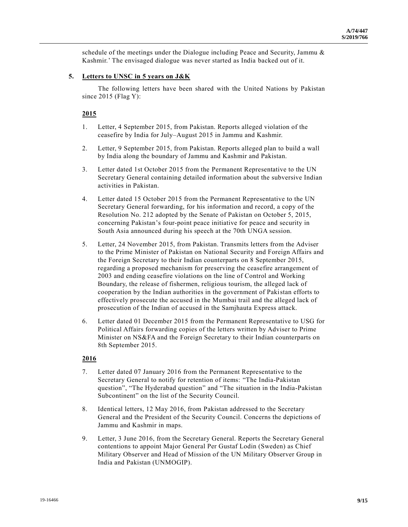schedule of the meetings under the Dialogue including Peace and Security, Jammu & Kashmir.' The envisaged dialogue was never started as India backed out of it.

## **5. Letters to UNSC in 5 years on J&K**

The following letters have been shared with the United Nations by Pakistan since  $2015$  (Flag Y):

#### **2015**

- 1. Letter, 4 September 2015, from Pakistan. Reports alleged violation of the ceasefire by India for July–August 2015 in Jammu and Kashmir.
- 2. Letter, 9 September 2015, from Pakistan. Reports alleged plan to build a wall by India along the boundary of Jammu and Kashmir and Pakistan.
- 3. Letter dated 1st October 2015 from the Permanent Representative to the UN Secretary General containing detailed information about the subversive Indian activities in Pakistan.
- 4. Letter dated 15 October 2015 from the Permanent Representative to the UN Secretary General forwarding, for his information and record, a copy of the Resolution No. 212 adopted by the Senate of Pakistan on October 5, 2015, concerning Pakistan's four-point peace initiative for peace and security in South Asia announced during his speech at the 70th UNGA session.
- 5. Letter, 24 November 2015, from Pakistan. Transmits letters from the Adviser to the Prime Minister of Pakistan on National Security and Foreign Affairs and the Foreign Secretary to their Indian counterparts on 8 September 2015, regarding a proposed mechanism for preserving the ceasefire arrangement of 2003 and ending ceasefire violations on the line of Control and Working Boundary, the release of fishermen, religious tourism, the alleged lack of cooperation by the Indian authorities in the government of Pakistan efforts to effectively prosecute the accused in the Mumbai trail and the alleged lack of prosecution of the Indian of accused in the Samjhauta Express attack.
- 6. Letter dated 01 December 2015 from the Permanent Representative to USG for Political Affairs forwarding copies of the letters written by Adviser to Prime Minister on NS&FA and the Foreign Secretary to their Indian counterparts on 8th September 2015.

#### **2016**

- 7. Letter dated 07 January 2016 from the Permanent Representative to the Secretary General to notify for retention of items: "The India-Pakistan question", "The Hyderabad question" and "The situation in the India-Pakistan Subcontinent" on the list of the Security Council.
- 8. Identical letters, 12 May 2016, from Pakistan addressed to the Secretary General and the President of the Security Council. Concerns the depictions of Jammu and Kashmir in maps.
- 9. Letter, 3 June 2016, from the Secretary General. Reports the Secretary General contentions to appoint Major General Per Gustaf Lodin (Sweden) as Chief Military Observer and Head of Mission of the UN Military Observer Group in India and Pakistan (UNMOGIP).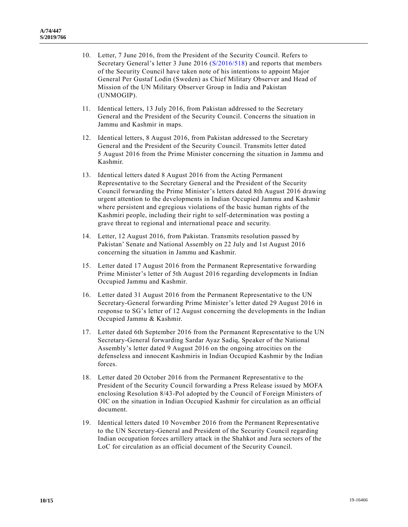- 10. Letter, 7 June 2016, from the President of the Security Council. Refers to Secretary General's letter 3 June 2016 [\(S/2016/518\)](https://undocs.org/en/S/2016/518) and reports that members of the Security Council have taken note of his intentions to appoint Major General Per Gustaf Lodin (Sweden) as Chief Military Observer and Head of Mission of the UN Military Observer Group in India and Pakistan (UNMOGIP).
- 11. Identical letters, 13 July 2016, from Pakistan addressed to the Secretary General and the President of the Security Council. Concerns the situation in Jammu and Kashmir in maps.
- 12. Identical letters, 8 August 2016, from Pakistan addressed to the Secretary General and the President of the Security Council. Transmits letter dated 5 August 2016 from the Prime Minister concerning the situation in Jammu and Kashmir.
- 13. Identical letters dated 8 August 2016 from the Acting Permanent Representative to the Secretary General and the President of the Security Council forwarding the Prime Minister's letters dated 8th August 2016 drawing urgent attention to the developments in Indian Occupied Jammu and Kashmir where persistent and egregious violations of the basic human rights of the Kashmiri people, including their right to self-determination was posting a grave threat to regional and international peace and security.
- 14. Letter, 12 August 2016, from Pakistan. Transmits resolution passed by Pakistan' Senate and National Assembly on 22 July and 1st August 2016 concerning the situation in Jammu and Kashmir.
- 15. Letter dated 17 August 2016 from the Permanent Representative forwarding Prime Minister's letter of 5th August 2016 regarding developments in Indian Occupied Jammu and Kashmir.
- 16. Letter dated 31 August 2016 from the Permanent Representative to the UN Secretary-General forwarding Prime Minister's letter dated 29 August 2016 in response to SG's letter of 12 August concerning the developments in the Indian Occupied Jammu & Kashmir.
- 17. Letter dated 6th September 2016 from the Permanent Representative to the UN Secretary-General forwarding Sardar Ayaz Sadiq, Speaker of the National Assembly's letter dated 9 August 2016 on the ongoing atrocities on the defenseless and innocent Kashmiris in Indian Occupied Kashmir by the Indian forces.
- 18. Letter dated 20 October 2016 from the Permanent Representative to the President of the Security Council forwarding a Press Release issued by MOFA enclosing Resolution 8/43-Pol adopted by the Council of Foreign Ministers of OIC on the situation in Indian Occupied Kashmir for circulation as an official document.
- 19. Identical letters dated 10 November 2016 from the Permanent Representative to the UN Secretary-General and President of the Security Council regarding Indian occupation forces artillery attack in the Shahkot and Jura sectors of the LoC for circulation as an official document of the Security Council.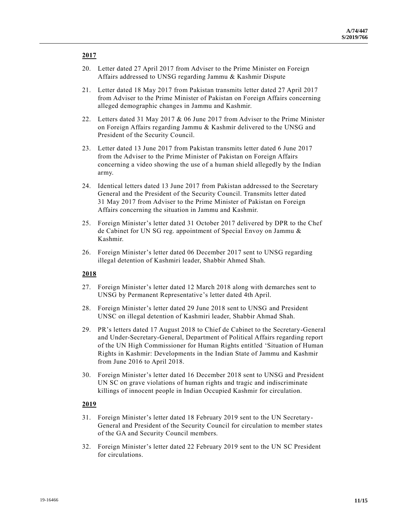# **2017**

- 20. Letter dated 27 April 2017 from Adviser to the Prime Minister on Foreign Affairs addressed to UNSG regarding Jammu & Kashmir Dispute
- 21. Letter dated 18 May 2017 from Pakistan transmits letter dated 27 April 2017 from Adviser to the Prime Minister of Pakistan on Foreign Affairs concerning alleged demographic changes in Jammu and Kashmir.
- 22. Letters dated 31 May 2017 & 06 June 2017 from Adviser to the Prime Minister on Foreign Affairs regarding Jammu & Kashmir delivered to the UNSG and President of the Security Council.
- 23. Letter dated 13 June 2017 from Pakistan transmits letter dated 6 June 2017 from the Adviser to the Prime Minister of Pakistan on Foreign Affairs concerning a video showing the use of a human shield allegedly by the Indian army.
- 24. Identical letters dated 13 June 2017 from Pakistan addressed to the Secretary General and the President of the Security Council. Transmits letter dated 31 May 2017 from Adviser to the Prime Minister of Pakistan on Foreign Affairs concerning the situation in Jammu and Kashmir.
- 25. Foreign Minister's letter dated 31 October 2017 delivered by DPR to the Chef de Cabinet for UN SG reg. appointment of Special Envoy on Jammu & Kashmir.
- 26. Foreign Minister's letter dated 06 December 2017 sent to UNSG regarding illegal detention of Kashmiri leader, Shabbir Ahmed Shah.

## **2018**

- 27. Foreign Minister's letter dated 12 March 2018 along with demarches sent to UNSG by Permanent Representative's letter dated 4th April.
- 28. Foreign Minister's letter dated 29 June 2018 sent to UNSG and President UNSC on illegal detention of Kashmiri leader, Shabbir Ahmad Shah.
- 29. PR's letters dated 17 August 2018 to Chief de Cabinet to the Secretary-General and Under-Secretary-General, Department of Political Affairs regarding report of the UN High Commissioner for Human Rights entitled 'Situation of Human Rights in Kashmir: Developments in the Indian State of Jammu and Kashmir from June 2016 to April 2018.
- 30. Foreign Minister's letter dated 16 December 2018 sent to UNSG and President UN SC on grave violations of human rights and tragic and indiscriminate killings of innocent people in Indian Occupied Kashmir for circulation.

# **2019**

- 31. Foreign Minister's letter dated 18 February 2019 sent to the UN Secretary-General and President of the Security Council for circulation to member states of the GA and Security Council members.
- 32. Foreign Minister's letter dated 22 February 2019 sent to the UN SC President for circulations.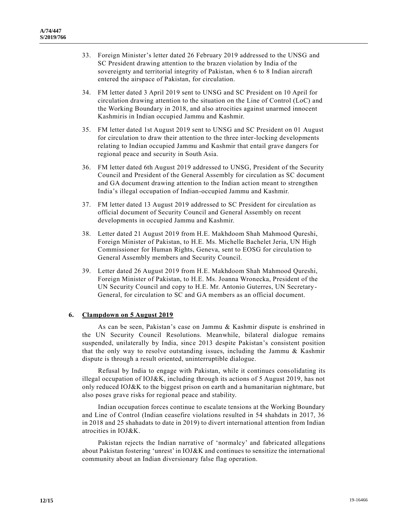- 33. Foreign Minister's letter dated 26 February 2019 addressed to the UNSG and SC President drawing attention to the brazen violation by India of the sovereignty and territorial integrity of Pakistan, when 6 to 8 Indian aircraft entered the airspace of Pakistan, for circulation.
- 34. FM letter dated 3 April 2019 sent to UNSG and SC President on 10 April for circulation drawing attention to the situation on the Line of Control (LoC) and the Working Boundary in 2018, and also atrocities against unarmed innocent Kashmiris in Indian occupied Jammu and Kashmir.
- 35. FM letter dated 1st August 2019 sent to UNSG and SC President on 01 August for circulation to draw their attention to the three inter-locking developments relating to Indian occupied Jammu and Kashmir that entail grave dangers for regional peace and security in South Asia.
- 36. FM letter dated 6th August 2019 addressed to UNSG, President of the Security Council and President of the General Assembly for circulation as SC document and GA document drawing attention to the Indian action meant to strengthen India's illegal occupation of Indian-occupied Jammu and Kashmir.
- 37. FM letter dated 13 August 2019 addressed to SC President for circulation as official document of Security Council and General Assembly on recent developments in occupied Jammu and Kashmir.
- 38. Letter dated 21 August 2019 from H.E. Makhdoom Shah Mahmood Qureshi, Foreign Minister of Pakistan, to H.E. Ms. Michelle Bachelet Jeria, UN High Commissioner for Human Rights, Geneva, sent to EOSG for circulation to General Assembly members and Security Council.
- 39. Letter dated 26 August 2019 from H.E. Makhdoom Shah Mahmood Qureshi, Foreign Minister of Pakistan, to H.E. Ms. Joanna Wronecka, President of the UN Security Council and copy to H.E. Mr. Antonio Guterres, UN Secretary-General, for circulation to SC and GA members as an official document.

#### **6. Clampdown on 5 August 2019**

As can be seen, Pakistan's case on Jammu & Kashmir dispute is enshrined in the UN Security Council Resolutions. Meanwhile, bilateral dialogue remains suspended, unilaterally by India, since 2013 despite Pakistan's consistent position that the only way to resolve outstanding issues, including the Jammu & Kashmir dispute is through a result oriented, uninterruptible dialogue.

Refusal by India to engage with Pakistan, while it continues consolidating its illegal occupation of IOJ&K, including through its actions of 5 August 2019, has not only reduced IOJ&K to the biggest prison on earth and a humanitarian nightmare, but also poses grave risks for regional peace and stability.

Indian occupation forces continue to escalate tensions at the Working Boundary and Line of Control (Indian ceasefire violations resulted in 54 shahdats in 2017, 36 in 2018 and 25 shahadats to date in 2019) to divert international attention from Indian atrocities in IOJ&K.

Pakistan rejects the Indian narrative of 'normalcy' and fabricated allegations about Pakistan fostering 'unrest' in IOJ&K and continues to sensitize the international community about an Indian diversionary false flag operation.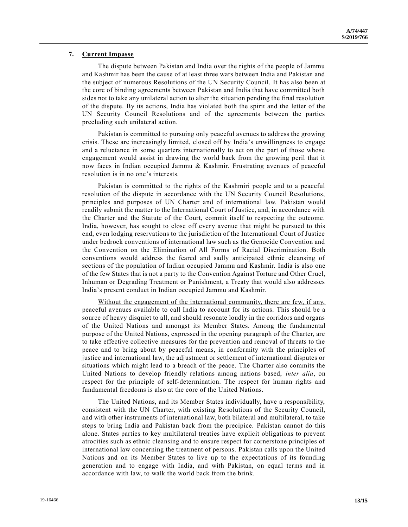#### **7. Current Impasse**

The dispute between Pakistan and India over the rights of the people of Jammu and Kashmir has been the cause of at least three wars between India and Pakistan and the subject of numerous Resolutions of the UN Security Council. It has also been at the core of binding agreements between Pakistan and India that have committed both sides not to take any unilateral action to alter the situation pending the final resolution of the dispute. By its actions, India has violated both the spirit and the letter of the UN Security Council Resolutions and of the agreements between the parties precluding such unilateral action.

Pakistan is committed to pursuing only peaceful avenues to address the growing crisis. These are increasingly limited, closed off by India's unwillingness to engage and a reluctance in some quarters internationally to act on the part of those whose engagement would assist in drawing the world back from the growing peril that it now faces in Indian occupied Jammu & Kashmir. Frustrating avenues of peaceful resolution is in no one's interests.

Pakistan is committed to the rights of the Kashmiri people and to a peaceful resolution of the dispute in accordance with the UN Security Council Resolutions, principles and purposes of UN Charter and of international law. Pakistan would readily submit the matter to the International Court of Justice, and, in accordance with the Charter and the Statute of the Court, commit itself to respecting the outcome. India, however, has sought to close off every avenue that might be pursued to this end, even lodging reservations to the jurisdiction of the International Court of Justice under bedrock conventions of international law such as the Genocide Convention and the Convention on the Elimination of All Forms of Racial Discrimination. Both conventions would address the feared and sadly anticipated ethnic cleansing of sections of the population of Indian occupied Jammu and Kashmir. India is also one of the few States that is not a party to the Convention Against Torture and Other Cruel, Inhuman or Degrading Treatment or Punishment, a Treaty that would also addresses India's present conduct in Indian occupied Jammu and Kashmir.

Without the engagement of the international community, there are few, if any, peaceful avenues available to call India to account for its actions. This should be a source of heavy disquiet to all, and should resonate loudly in the corridors and organs of the United Nations and amongst its Member States. Among the fundamental purpose of the United Nations, expressed in the opening paragraph of the Charter, are to take effective collective measures for the prevention and removal of threats to the peace and to bring about by peaceful means, in conformity with the principles of justice and international law, the adjustment or settlement of international disputes or situations which might lead to a breach of the peace. The Charter also commits the United Nations to develop friendly relations among nations based, *inter alia*, on respect for the principle of self-determination. The respect for human rights and fundamental freedoms is also at the core of the United Nations.

The United Nations, and its Member States individually, have a responsibility, consistent with the UN Charter, with existing Resolutions of the Security Council, and with other instruments of international law, both bilateral and multilateral, to take steps to bring India and Pakistan back from the precipice. Pakistan cannot do this alone. States parties to key multilateral treaties have explicit obligations to prevent atrocities such as ethnic cleansing and to ensure respect for cornerstone principles of international law concerning the treatment of persons. Pakistan calls upon the United Nations and on its Member States to live up to the expectations of its founding generation and to engage with India, and with Pakistan, on equal terms and in accordance with law, to walk the world back from the brink.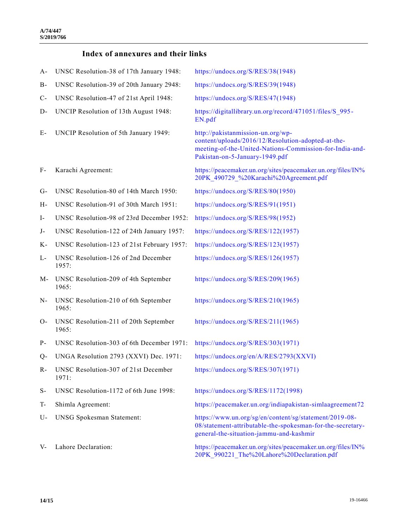# **Index of annexures and their links**

| A-    | UNSC Resolution-38 of 17th January 1948:       | https://undocs.org/S/RES/38(1948)                                                                                                                                                    |
|-------|------------------------------------------------|--------------------------------------------------------------------------------------------------------------------------------------------------------------------------------------|
| B-    | UNSC Resolution-39 of 20th January 2948:       | https://undocs.org/S/RES/39(1948)                                                                                                                                                    |
| $C-$  | UNSC Resolution-47 of 21st April 1948:         | https://undocs.org/S/RES/47(1948)                                                                                                                                                    |
| D-    | UNCIP Resolution of 13th August 1948:          | https://digitallibrary.un.org/record/471051/files/S 995-<br>EN.pdf                                                                                                                   |
| Е-    | UNCIP Resolution of 5th January 1949:          | http://pakistanmission-un.org/wp-<br>content/uploads/2016/12/Resolution-adopted-at-the-<br>meeting-of-the-United-Nations-Commission-for-India-and-<br>Pakistan-on-5-January-1949.pdf |
| F-    | Karachi Agreement:                             | https://peacemaker.un.org/sites/peacemaker.un.org/files/IN%<br>20PK 490729 %20Karachi%20Agreement.pdf                                                                                |
| $G-$  | UNSC Resolution-80 of 14th March 1950:         | https://undocs.org/S/RES/80(1950)                                                                                                                                                    |
| Н-    | UNSC Resolution-91 of 30th March 1951:         | https://undocs.org/S/RES/91(1951)                                                                                                                                                    |
| $I-$  | UNSC Resolution-98 of 23rd December 1952:      | https://undocs.org/S/RES/98(1952)                                                                                                                                                    |
| $J-$  | UNSC Resolution-122 of 24th January 1957:      | https://undocs.org/S/RES/122(1957)                                                                                                                                                   |
| Κ-    | UNSC Resolution-123 of 21st February 1957:     | https://undocs.org/S/RES/123(1957)                                                                                                                                                   |
| L-    | UNSC Resolution-126 of 2nd December<br>1957:   | https://undocs.org/S/RES/126(1957)                                                                                                                                                   |
| M-    | UNSC Resolution-209 of 4th September<br>1965:  | https://undocs.org/S/RES/209(1965)                                                                                                                                                   |
| N-    | UNSC Resolution-210 of 6th September<br>1965:  | https://undocs.org/S/RES/210(1965)                                                                                                                                                   |
| $O-$  | UNSC Resolution-211 of 20th September<br>1965: | https://undocs.org/S/RES/211(1965)                                                                                                                                                   |
| $P -$ | UNSC Resolution-303 of 6th December 1971:      | https://undocs.org/S/RES/303(1971)                                                                                                                                                   |
| Q-    | UNGA Resolution 2793 (XXVI) Dec. 1971:         | https://undocs.org/en/A/RES/2793(XXVI)                                                                                                                                               |
| R-    | UNSC Resolution-307 of 21st December<br>1971:  | https://undocs.org/S/RES/307(1971)                                                                                                                                                   |
| $S-$  | UNSC Resolution-1172 of 6th June 1998:         | https://undocs.org/S/RES/1172(1998)                                                                                                                                                  |
| T-    | Shimla Agreement:                              | https://peacemaker.un.org/indiapakistan-simlaagreement72                                                                                                                             |
| U-    | <b>UNSG Spokesman Statement:</b>               | https://www.un.org/sg/en/content/sg/statement/2019-08-<br>08/statement-attributable-the-spokesman-for-the-secretary-<br>general-the-situation-jammu-and-kashmir                      |
| V-    | Lahore Declaration:                            | https://peacemaker.un.org/sites/peacemaker.un.org/files/IN%<br>20PK 990221 The%20Lahore%20Declaration.pdf                                                                            |